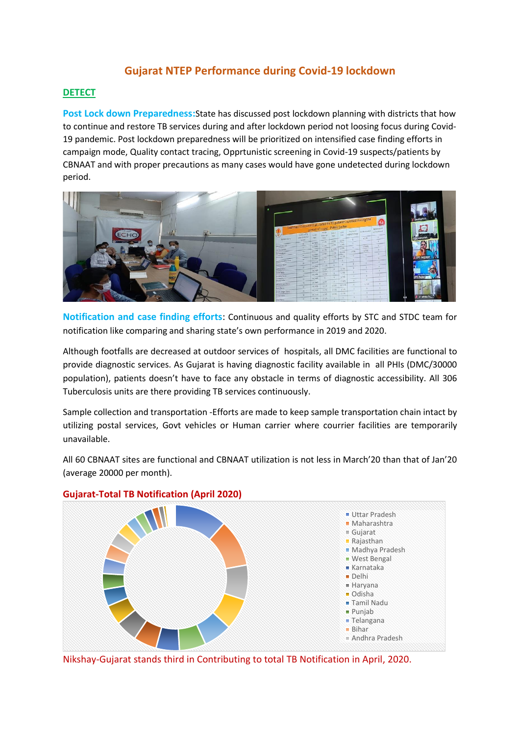# **Gujarat NTEP Performance during Covid-19 lockdown**

# **DETECT**

**Post Lock down Preparedness:**State has discussed post lockdown planning with districts that how to continue and restore TB services during and after lockdown period not loosing focus during Covid-19 pandemic. Post lockdown preparedness will be prioritized on intensified case finding efforts in campaign mode, Quality contact tracing, Opprtunistic screening in Covid-19 suspects/patients by CBNAAT and with proper precautions as many cases would have gone undetected during lockdown period.



**Notification and case finding efforts**: Continuous and quality efforts by STC and STDC team for notification like comparing and sharing state's own performance in 2019 and 2020.

Although footfalls are decreased at outdoor services of hospitals, all DMC facilities are functional to provide diagnostic services. As Gujarat is having diagnostic facility available in all PHIs (DMC/30000 population), patients doesn't have to face any obstacle in terms of diagnostic accessibility. All 306 Tuberculosis units are there providing TB services continuously.

Sample collection and transportation -Efforts are made to keep sample transportation chain intact by utilizing postal services, Govt vehicles or Human carrier where courrier facilities are temporarily unavailable.

All 60 CBNAAT sites are functional and CBNAAT utilization is not less in March'20 than that of Jan'20 (average 20000 per month).



# **Gujarat-Total TB Notification (April 2020)**

Nikshay-Gujarat stands third in Contributing to total TB Notification in April, 2020.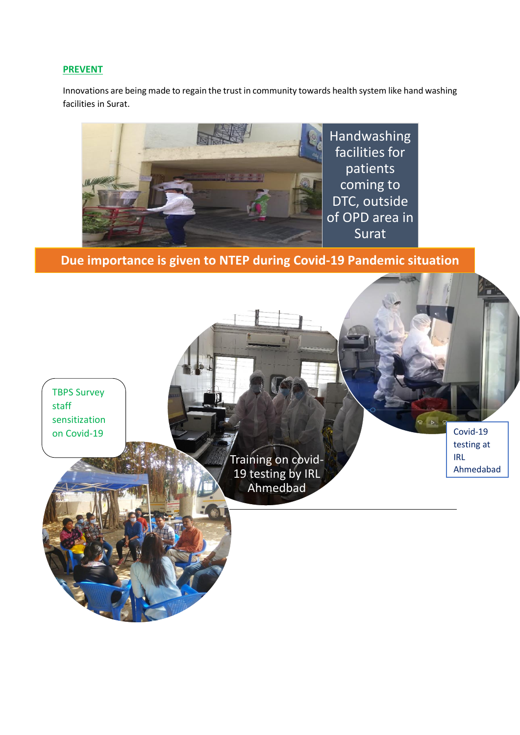### **PREVENT**

Innovations are being made to regain the trust in community towards health system like hand washing facilities in Surat.



 **Due importance is given to NTEP during Covid-19 Pandemic situation**

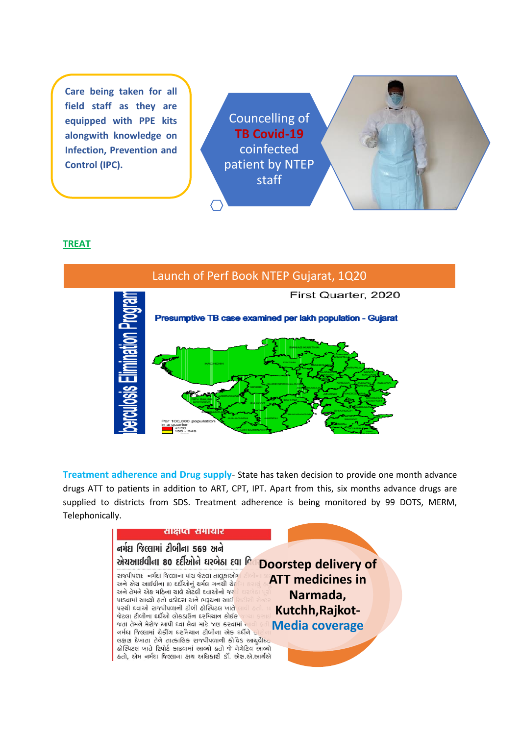**Care being taken for all field staff as they are equipped with PPE kits alongwith knowledge on Infection, Prevention and Control (IPC).**

Councelling of **TB Covid-19**  coinfected patient by NTEP staff

#### **TREAT**



**Treatment adherence and Drug supply**- State has taken decision to provide one month advance drugs ATT to patients in addition to ART, CPT, IPT. Apart from this, six months advance drugs are supplied to districts from SDS. Treatment adherence is being monitored by 99 DOTS, MERM, Telephonically.

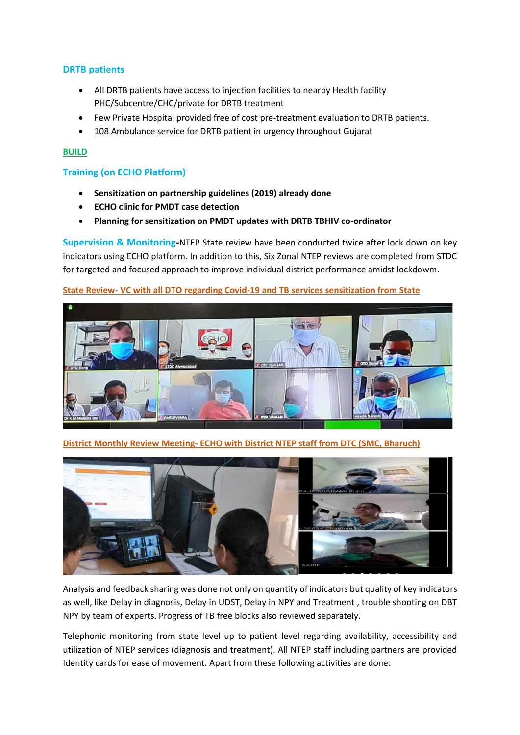# **DRTB patients**

- All DRTB patients have access to injection facilities to nearby Health facility PHC/Subcentre/CHC/private for DRTB treatment
- Few Private Hospital provided free of cost pre-treatment evaluation to DRTB patients.
- 108 Ambulance service for DRTB patient in urgency throughout Gujarat

#### **BUILD**

#### **Training (on ECHO Platform)**

- **Sensitization on partnership guidelines (2019) already done**
- **ECHO clinic for PMDT case detection**
- **Planning for sensitization on PMDT updates with DRTB TBHIV co-ordinator**

**Supervision & Monitoring-**NTEP State review have been conducted twice after lock down on key indicators using ECHO platform. In addition to this, Six Zonal NTEP reviews are completed from STDC for targeted and focused approach to improve individual district performance amidst lockdowm.

## **State Review- VC with all DTO regarding Covid-19 and TB services sensitization from State**



**District Monthly Review Meeting- ECHO with District NTEP staff from DTC (SMC, Bharuch)**



Analysis and feedback sharing was done not only on quantity of indicators but quality of key indicators as well, like Delay in diagnosis, Delay in UDST, Delay in NPY and Treatment , trouble shooting on DBT NPY by team of experts. Progress of TB free blocks also reviewed separately.

Telephonic monitoring from state level up to patient level regarding availability, accessibility and utilization of NTEP services (diagnosis and treatment). All NTEP staff including partners are provided Identity cards for ease of movement. Apart from these following activities are done: